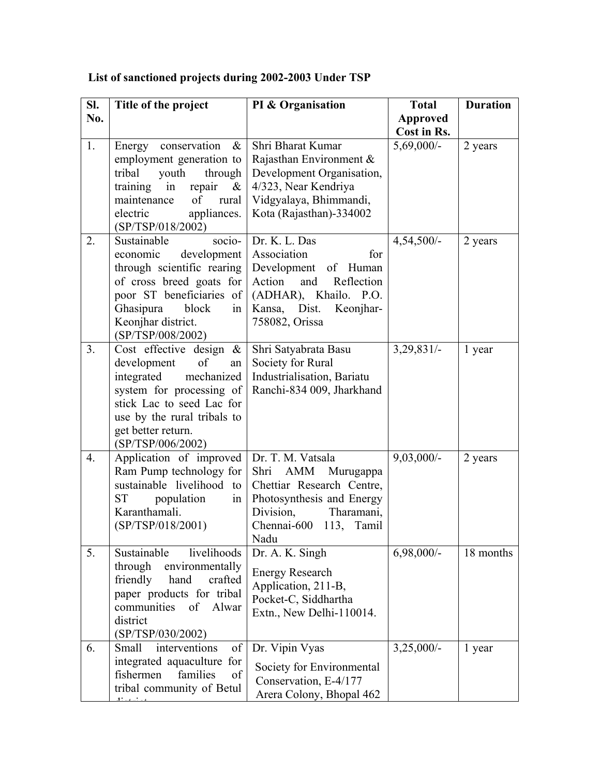| SI.              | Title of the project                                                                                                                                                                                                 | PI & Organisation                                                                                                                                                        | <b>Total</b>    | <b>Duration</b> |
|------------------|----------------------------------------------------------------------------------------------------------------------------------------------------------------------------------------------------------------------|--------------------------------------------------------------------------------------------------------------------------------------------------------------------------|-----------------|-----------------|
| No.              |                                                                                                                                                                                                                      |                                                                                                                                                                          | <b>Approved</b> |                 |
| 1.               |                                                                                                                                                                                                                      | Shri Bharat Kumar                                                                                                                                                        | Cost in Rs.     |                 |
|                  | Energy conservation<br>$\&$<br>employment generation to<br>through<br>tribal<br>youth<br>repair<br>training<br>$\&$<br>in<br>of<br>maintenance<br>rural<br>electric<br>appliances.<br>(SP/TSP/018/2002)              | Rajasthan Environment &<br>Development Organisation,<br>4/323, Near Kendriya<br>Vidgyalaya, Bhimmandi,<br>Kota (Rajasthan)-334002                                        | $5,69,000/-$    | 2 years         |
| 2.               | Sustainable<br>socio-<br>development<br>economic<br>through scientific rearing<br>of cross breed goats for<br>poor ST beneficiaries of<br>Ghasipura<br>block<br>in<br>Keonjhar district.<br>(SP/TSP/008/2002)        | Dr. K. L. Das<br>Association<br>for<br>Development<br>of Human<br>Action<br>and<br>Reflection<br>(ADHAR), Khailo. P.O.<br>Kansa,<br>Dist.<br>Keonjhar-<br>758082, Orissa | 4,54,500/-      | 2 years         |
| 3.               | Cost effective design $\&$<br>of<br>development<br>an<br>integrated<br>mechanized<br>system for processing of<br>stick Lac to seed Lac for<br>use by the rural tribals to<br>get better return.<br>(SP/TSP/006/2002) | Shri Satyabrata Basu<br>Society for Rural<br>Industrialisation, Bariatu<br>Ranchi-834 009, Jharkhand                                                                     | 3,29,831/       | 1 year          |
| $\overline{4}$ . | Application of improved<br>Ram Pump technology for<br>sustainable livelihood to<br>ST –<br>population<br>in<br>Karanthamali.<br>(SP/TSP/018/2001)                                                                    | Dr. T. M. Vatsala<br>AMM<br>Murugappa<br>Shri<br>Chettiar Research Centre,<br>Photosynthesis and Energy<br>Division,<br>Tharamani,<br>Chennai-600 113, Tamil<br>Nadu     | $9,03,000/-$    | 2 years         |
| 5.               | livelihoods<br>Sustainable<br>through<br>environmentally<br>friendly<br>hand<br>crafted<br>paper products for tribal<br>communities<br>of<br>Alwar<br>district<br>(SP/TSP/030/2002)                                  | Dr. A. K. Singh<br><b>Energy Research</b><br>Application, 211-B,<br>Pocket-C, Siddhartha<br>Extn., New Delhi-110014.                                                     | $6,98,000/-$    | 18 months       |
| 6.               | Small<br>interventions<br>of<br>integrated aquaculture for<br>families<br>fishermen<br>of<br>tribal community of Betul                                                                                               | Dr. Vipin Vyas<br>Society for Environmental<br>Conservation, E-4/177<br>Arera Colony, Bhopal 462                                                                         | $3,25,000/-$    | 1 year          |

## **List of sanctioned projects during 2002-2003 Under TSP**